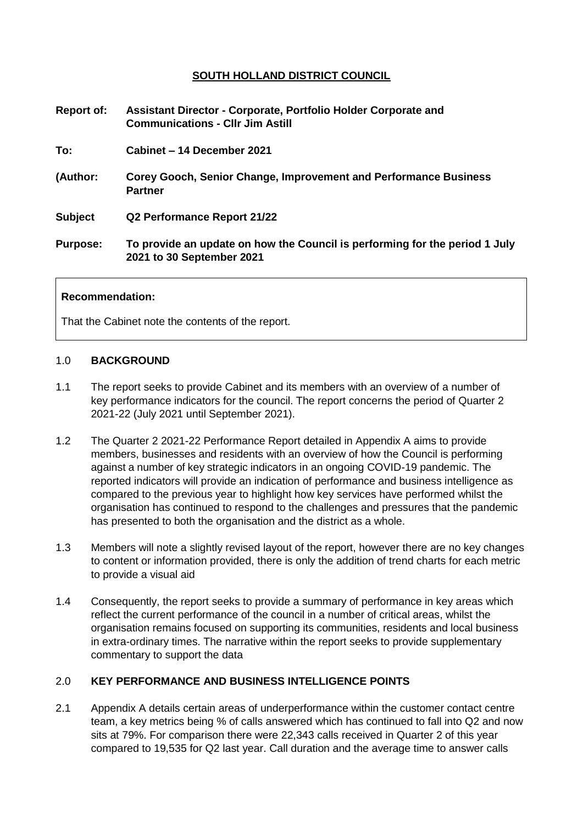# **SOUTH HOLLAND DISTRICT COUNCIL**

| <b>Report of:</b> | Assistant Director - Corporate, Portfolio Holder Corporate and<br><b>Communications - Cllr Jim Astill</b> |
|-------------------|-----------------------------------------------------------------------------------------------------------|
| To:               | Cabinet – 14 December 2021                                                                                |
| (Author:          | <b>Corey Gooch, Senior Change, Improvement and Performance Business</b><br><b>Partner</b>                 |
| <b>Subject</b>    | Q2 Performance Report 21/22                                                                               |
| <b>Purpose:</b>   | To provide an update on how the Council is performing for the period 1 July<br>2021 to 30 September 2021  |

### **Recommendation:**

That the Cabinet note the contents of the report.

#### 1.0 **BACKGROUND**

- 1.1 The report seeks to provide Cabinet and its members with an overview of a number of key performance indicators for the council. The report concerns the period of Quarter 2 2021-22 (July 2021 until September 2021).
- 1.2 The Quarter 2 2021-22 Performance Report detailed in Appendix A aims to provide members, businesses and residents with an overview of how the Council is performing against a number of key strategic indicators in an ongoing COVID-19 pandemic. The reported indicators will provide an indication of performance and business intelligence as compared to the previous year to highlight how key services have performed whilst the organisation has continued to respond to the challenges and pressures that the pandemic has presented to both the organisation and the district as a whole.
- 1.3 Members will note a slightly revised layout of the report, however there are no key changes to content or information provided, there is only the addition of trend charts for each metric to provide a visual aid
- 1.4 Consequently, the report seeks to provide a summary of performance in key areas which reflect the current performance of the council in a number of critical areas, whilst the organisation remains focused on supporting its communities, residents and local business in extra-ordinary times. The narrative within the report seeks to provide supplementary commentary to support the data

## 2.0 **KEY PERFORMANCE AND BUSINESS INTELLIGENCE POINTS**

2.1 Appendix A details certain areas of underperformance within the customer contact centre team, a key metrics being % of calls answered which has continued to fall into Q2 and now sits at 79%. For comparison there were 22,343 calls received in Quarter 2 of this year compared to 19,535 for Q2 last year. Call duration and the average time to answer calls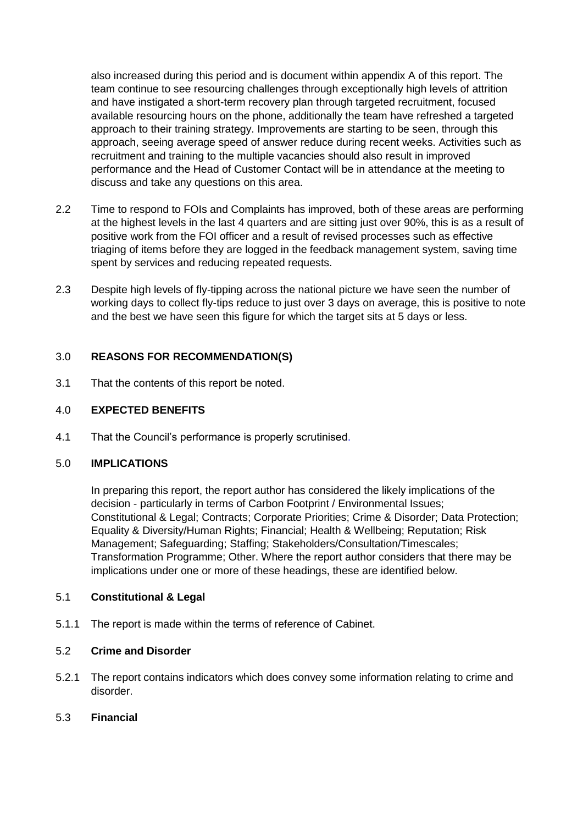also increased during this period and is document within appendix A of this report. The team continue to see resourcing challenges through exceptionally high levels of attrition and have instigated a short-term recovery plan through targeted recruitment, focused available resourcing hours on the phone, additionally the team have refreshed a targeted approach to their training strategy. Improvements are starting to be seen, through this approach, seeing average speed of answer reduce during recent weeks. Activities such as recruitment and training to the multiple vacancies should also result in improved performance and the Head of Customer Contact will be in attendance at the meeting to discuss and take any questions on this area.

- 2.2 Time to respond to FOIs and Complaints has improved, both of these areas are performing at the highest levels in the last 4 quarters and are sitting just over 90%, this is as a result of positive work from the FOI officer and a result of revised processes such as effective triaging of items before they are logged in the feedback management system, saving time spent by services and reducing repeated requests.
- 2.3 Despite high levels of fly-tipping across the national picture we have seen the number of working days to collect fly-tips reduce to just over 3 days on average, this is positive to note and the best we have seen this figure for which the target sits at 5 days or less.

# 3.0 **REASONS FOR RECOMMENDATION(S)**

3.1 That the contents of this report be noted.

# 4.0 **EXPECTED BENEFITS**

4.1 That the Council's performance is properly scrutinised.

## 5.0 **IMPLICATIONS**

In preparing this report, the report author has considered the likely implications of the decision - particularly in terms of Carbon Footprint / Environmental Issues; Constitutional & Legal; Contracts; Corporate Priorities; Crime & Disorder; Data Protection; Equality & Diversity/Human Rights; Financial; Health & Wellbeing; Reputation; Risk Management; Safeguarding; Staffing; Stakeholders/Consultation/Timescales; Transformation Programme; Other. Where the report author considers that there may be implications under one or more of these headings, these are identified below.

## 5.1 **Constitutional & Legal**

5.1.1 The report is made within the terms of reference of Cabinet.

# 5.2 **Crime and Disorder**

- 5.2.1 The report contains indicators which does convey some information relating to crime and disorder.
- 5.3 **Financial**